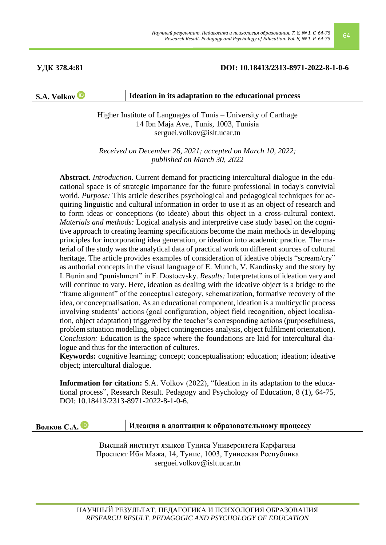### **УДК 378.4:81 DOI: 10.18413/2313-8971-2022-8-1-0-6**

### **S.A. Volko[v](https://orcid.org/0000-0002-9682-4797) ID Ideation in its adaptation to the educational process**

Higher Institute of Languages of Tunis – University of Carthage 14 Ibn Maja Ave., Tunis, 1003, Tunisia serguei.volkov@islt.ucar.tn

*Received on December 26, 2021; accepted on March 10, 2022; published on March 30, 2022*

**Abstract.** *Introduction.* Current demand for practicing intercultural dialogue in the educational space is of strategic importance for the future professional in today's convivial world. *Purpose:* This article describes psychological and pedagogical techniques for acquiring linguistic and cultural information in order to use it as an object of research and to form ideas or conceptions (to ideate) about this object in a cross-cultural context. *Materials and methods:* Logical analysis and interpretive case study based on the cognitive approach to creating learning specifications become the main methods in developing principles for incorporating idea generation, or ideation into academic practice. The material of the study was the analytical data of practical work on different sources of cultural heritage. The article provides examples of consideration of ideative objects "scream/cry" as authorial concepts in the visual language of E. Munch, V. Kandinsky and the story by I. Bunin and "punishment" in F. Dostoevsky. *Results:* Interpretations of ideation vary and will continue to vary. Here, ideation as dealing with the ideative object is a bridge to the "frame alignment" of the conceptual category, schematization, formative recovery of the idea, or conceptualisation. As an educational component, ideation is a multicyclic process involving students' actions (goal configuration, object field recognition, object localisation, object adaptation) triggered by the teacher's corresponding actions (purposefulness, problem situation modelling, object contingencies analysis, object fulfilment orientation). *Conclusion:* Education is the space where the foundations are laid for intercultural dialogue and thus for the interaction of cultures.

**Keywords:** cognitive learning; concept; conceptualisation; education; ideation; ideative object; intercultural dialogue.

**Information for citation:** S.A. Volkov (2022), "Ideation in its adaptation to the educational process", Research Result. Pedagogy and Psychology of Education, 8 (1), 64-75, DOI: 10.18413/2313-8971-2022-8-1-0-6.

# **Волков С.А. Идеация в адаптации к образовательному процессу**

Высший институт языков Туниса Университета Карфагена Проспект Ибн Мажа, 14, Тунис, 1003, Тунисская Республика serguei.volkov@islt.ucar.tn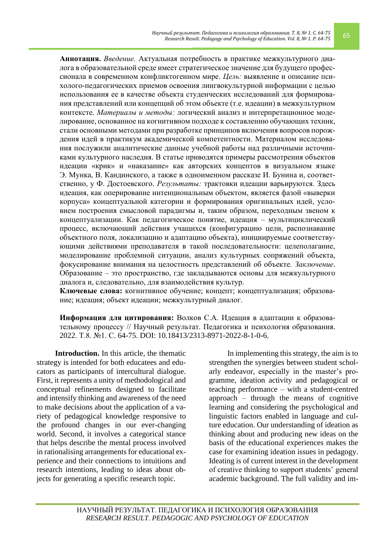**Аннотация.** *Введение.* Актуальная потребность в практике межкультурного диалога в образовательной среде имеет стратегическое значение для будущего профессионала в современном конфликтогенном мире. *Цель:* выявление и описание психолого-педагогических приемов освоения лингвокультурной информации с целью использования ее в качестве объекта студенческих исследований для формирования представлений или концепций об этом объекте (т.е. идеации) в межкультурном контексте. *Материалы и методы:* логический анализ и интерпретационное моделирование, основанное на когнитивном подходе к составлению обучающих техник, стали основными методами при разработке принципов включения вопросов порождения идей в практикум академической компетентности. Материалом исследования послужили аналитические данные учебной работы над различными источниками культурного наследия. В статье приводятся примеры рассмотрения объектов идеации «крик» и «наказание» как авторских концептов в визуальном языке Э. Мунка, В. Кандинского, а также в одноименном рассказе И. Бунина и, соответственно, у Ф. Достоевского. *Результаты:* трактовки идеации варьируются. Здесь идеация, как оперирование интенциональным объектом, является фазой «выверки корпуса» концептуальной категории и формирования оригинальных идей, условием построения смысловой парадигмы и, таким образом, переходным звеном к концептуализации. Как педагогическое понятие, идеация – мультициклический процесс, включающий действия учащихся (конфигурацию цели, распознавание объектного поля, локализацию и адаптацию объекта), инициируемые соответствующими действиями преподавателя в такой последовательности: целеполагание, моделирование проблемной ситуации, анализ культурных сопряжений объекта, фокусирование внимания на целостность представлений об объекте. *Заключение.* Образование – это пространство, где закладываются основы для межкультурного диалога и, следовательно, для взаимодействия культур.

**Ключевые слова:** когнитивное обучение; концепт; концептуализация; образование; идеация; объект идеации; межкультурный диалог.

**Информация для цитирования:** Волков С.А. Идеация в адаптации к образовательному процессу // Научный результат. Педагогика и психология образования. 2022. Т.8. №1. С. 64-75. DOI: 10.18413/2313-8971-2022-8-1-0-6.

**Introduction.** In this article, the thematic strategy is intended for both educatees and educators as participants of intercultural dialogue. First, it represents a unity of methodological and conceptual refinements designed to facilitate and intensify thinking and awareness of the need to make decisions about the application of a variety of pedagogical knowledge responsive to the profound changes in our ever-changing world. Second, it involves a categorical stance that helps describe the mental process involved in rationalising arrangements for educational experience and their connections to intuitions and research intentions, leading to ideas about objects for generating a specific research topic.

In implementing this strategy, the aim is to strengthen the synergies between student scholarly endeavor, especially in the master's programme, ideation activity and pedagogical or teaching performance – with a student-centred approach – through the means of cognitive learning and considering the psychological and linguistic factors enabled in language and culture education. Our understanding of ideation as thinking about and producing new ideas on the basis of the educational experiences makes the case for examining ideation issues in pedagogy. Ideating is of current interest in the development of creative thinking to support students' general academic background. The full validity and im-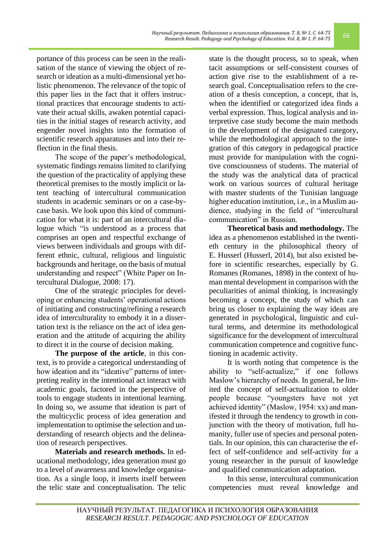portance of this process can be seen in the realisation of the stance of viewing the object of research or ideation as a multi-dimensional yet holistic phenomenon. The relevance of the topic of this paper lies in the fact that it offers instructional practices that encourage students to activate their actual skills, awaken potential capacities in the initial stages of research activity, and engender novel insights into the formation of scientific research apparatuses and into their reflection in the final thesis.

The scope of the paper's methodological, systematic findings remains limited to clarifying the question of the practicality of applying these theoretical premises to the mostly implicit or latent teaching of intercultural communication students in academic seminars or on a case-bycase basis. We look upon this kind of communication for what it is: part of an intercultural dialogue which "is understood as a process that comprises an open and respectful exchange of views between individuals and groups with different ethnic, cultural, religious and linguistic backgrounds and heritage, on the basis of mutual understanding and respect" (White Paper on Intercultural Dialogue, 2008: 17).

One of the strategic principles for developing or enhancing students' operational actions of initiating and constructing/refining a research idea of interculturality to embody it in a dissertation text is the reliance on the act of idea generation and the attitude of acquiring the ability to direct it in the course of decision making.

**The purpose of the article**, in this context, is to provide a categorical understanding of how ideation and its "ideative" patterns of interpreting reality in the intentional act interact with academic goals, factored in the perspective of tools to engage students in intentional learning. In doing so, we assume that ideation is part of the multicyclic process of idea generation and implementation to optimise the selection and understanding of research objects and the delineation of research perspectives.

**Materials and research methods.** In educational methodology, idea generation must go to a level of awareness and knowledge organisation. As a single loop, it inserts itself between the telic state and conceptualisation. The telic state is the thought process, so to speak, when tacit assumptions or self-consistent courses of action give rise to the establishment of a research goal. Conceptualisation refers to the creation of a thesis conception, a concept, that is, when the identified or categorized idea finds a verbal expression. Thus, logical analysis and interpretive case study become the main methods in the development of the designated category, while the methodological approach to the integration of this category in pedagogical practice must provide for manipulation with the cognitive consciousness of students. The material of the study was the analytical data of practical work on various sources of cultural heritage with master students of the Tunisian language higher education institution, i.e., in a Muslim audience, studying in the field of "intercultural communication" in Russian.

**Theoretical basis and methodology.** The idea as a phenomenon established in the twentieth century in the philosophical theory of E. Husserl (Husserl, 2014), but also existed before in scientific researches, especially by G. Romanes (Romanes, 1898) in the context of human mental development in comparison with the peculiarities of animal thinking, is increasingly becoming a concept, the study of which can bring us closer to explaining the way ideas are generated in psychological, linguistic and cultural terms, and determine its methodological significance for the development of intercultural communication competence and cognitive functioning in academic activity.

It is worth noting that competence is the ability to "self-actualize," if one follows Maslow's hierarchy of needs. In general, he limited the concept of self-actualization to older people because "youngsters have not yet achieved identity" (Maslow, 1954: xx) and manifested it through the tendency to growth in conjunction with the theory of motivation, full humanity, fuller use of species and personal potentials. In our opinion, this can characterise the effect of self-confidence and self-activity for a young researcher in the pursuit of knowledge and qualified communication adaptation.

In this sense, intercultural communication competencies must reveal knowledge and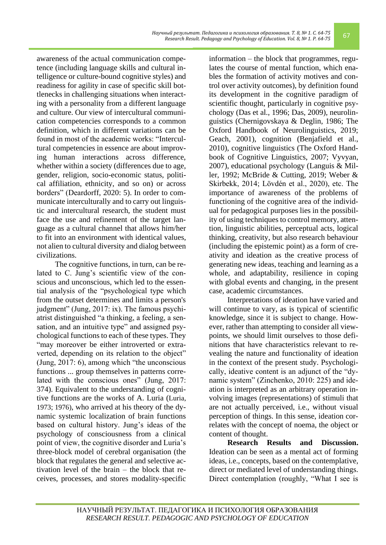awareness of the actual communication competence (including language skills and cultural intelligence or culture-bound cognitive styles) and readiness for agility in case of specific skill bottlenecks in challenging situations when interacting with a personality from a different language and culture. Our view of intercultural communication competencies corresponds to a common definition, which in different variations can be found in most of the academic works: "Intercultural competencies in essence are about improving human interactions across difference, whether within a society (differences due to age, gender, religion, socio-economic status, political affiliation, ethnicity, and so on) or across borders" (Deardorff, 2020: 5). In order to communicate interculturally and to carry out linguistic and intercultural research, the student must face the use and refinement of the target language as a cultural channel that allows him/her to fit into an environment with identical values, not alien to cultural diversity and dialog between civilizations.

The cognitive functions, in turn, can be related to C. Jung's scientific view of the conscious and unconscious, which led to the essential analysis of the "psychological type which from the outset determines and limits a person's judgment" (Jung, 2017: ix). The famous psychiatrist distinguished "a thinking, a feeling, a sensation, and an intuitive type" and assigned psychological functions to each of these types. They "may moreover be either introverted or extraverted, depending on its relation to the object" (Jung, 2017: 6), among which "the unconscious functions ... group themselves in patterns correlated with the conscious ones" (Jung, 2017: 374). Equivalent to the understanding of cognitive functions are the works of A. Luria (Luria, 1973; 1976), who arrived at his theory of the dynamic systemic localization of brain functions based on cultural history. Jung's ideas of the psychology of consciousness from a clinical point of view, the cognitive disorder and Luria's three-block model of cerebral organisation (the block that regulates the general and selective activation level of the brain – the block that receives, processes, and stores modality-specific information – the block that programmes, regulates the course of mental function, which enables the formation of activity motives and control over activity outcomes), by definition found its development in the cognitive paradigm of scientific thought, particularly in cognitive psychology (Das et al., 1996; Das, 2009), neurolinguistics (Chernigovskaya & Deglin, 1986; The Oxford Handbook of Neurolinguistics, 2019; Geach, 2001), cognition (Benjafield et al., 2010), cognitive linguistics (The Oxford Handbook of Cognitive Linguistics, 2007; Vyvyan, 2007), educational psychology (Languis & Miller, 1992; McBride & Cutting, 2019; Weber & Skirbekk, 2014; Lövdén et al., 2020), etc. The importance of awareness of the problems of functioning of the cognitive area of the individual for pedagogical purposes lies in the possibility of using techniques to control memory, attention, linguistic abilities, perceptual acts, logical thinking, creativity, but also research behaviour (including the epistemic point) as a form of creativity and ideation as the creative process of generating new ideas, teaching and learning as a whole, and adaptability, resilience in coping with global events and changing, in the present case, academic circumstances.

Interpretations of ideation have varied and will continue to vary, as is typical of scientific knowledge, since it is subject to change. However, rather than attempting to consider all viewpoints, we should limit ourselves to those definitions that have characteristics relevant to revealing the nature and functionality of ideation in the context of the present study. Psychologically, ideative content is an adjunct of the "dynamic system" (Zinchenko, 2010: 225) and ideation is interpreted as an arbitrary operation involving images (representations) of stimuli that are not actually perceived, i.e., without visual perception of things. In this sense, ideation correlates with the concept of noema, the object or content of thought.

**Research Results and Discussion.** Ideation can be seen as a mental act of forming ideas, i.e., concepts, based on the contemplative, direct or mediated level of understanding things. Direct contemplation (roughly, "What I see is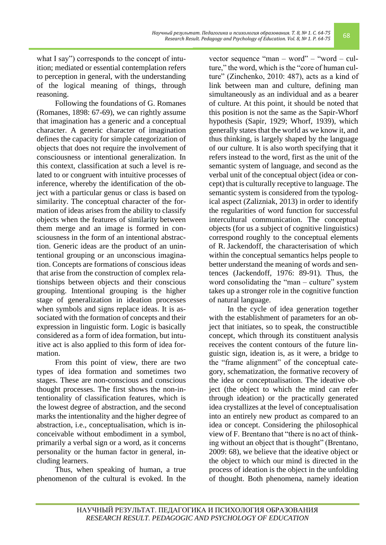reasoning. Following the foundations of G. Romanes (Romanes, 1898: 67-69), we can rightly assume that imagination has a generic and a conceptual character. A generic character of imagination defines the capacity for simple categorization of objects that does not require the involvement of consciousness or intentional generalization. In this context, classification at such a level is related to or congruent with intuitive processes of inference, whereby the identification of the object with a particular genus or class is based on similarity. The conceptual character of the formation of ideas arises from the ability to classify objects when the features of similarity between them merge and an image is formed in consciousness in the form of an intentional abstraction. Generic ideas are the product of an unintentional grouping or an unconscious imagination. Concepts are formations of conscious ideas that arise from the construction of complex relationships between objects and their conscious grouping. Intentional grouping is the higher stage of generalization in ideation processes when symbols and signs replace ideas. It is associated with the formation of concepts and their expression in linguistic form. Logic is basically considered as a form of idea formation, but intuitive act is also applied to this form of idea formation.

From this point of view, there are two types of idea formation and sometimes two stages. These are non-conscious and conscious thought processes. The first shows the non-intentionality of classification features, which is the lowest degree of abstraction, and the second marks the intentionality and the higher degree of abstraction, i.e., conceptualisation, which is inconceivable without embodiment in a symbol, primarily a verbal sign or a word, as it concerns personality or the human factor in general, including learners.

Thus, when speaking of human, a true phenomenon of the cultural is evoked. In the vector sequence "man – word" – "word – culture," the word, which is the "core of human culture" (Zinchenko, 2010: 487), acts as a kind of link between man and culture, defining man simultaneously as an individual and as a bearer of culture. At this point, it should be noted that this position is not the same as the Sapir-Whorf hypothesis (Sapir, 1929; Whorf, 1939), which generally states that the world as we know it, and thus thinking, is largely shaped by the language of our culture. It is also worth specifying that it refers instead to the word, first as the unit of the semantic system of language, and second as the verbal unit of the conceptual object (idea or concept) that is culturally receptive to language. The semantic system is considered from the typological aspect (Zalizniak, 2013) in order to identify the regularities of word function for successful intercultural communication. The conceptual objects (for us a subject of cognitive linguistics) correspond roughly to the conceptual elements of R. Jackendoff, the characterisation of which within the conceptual semantics helps people to better understand the meaning of words and sentences (Jackendoff, 1976: 89-91). Thus, the word consolidating the "man – culture" system takes up a stronger role in the cognitive function of natural language.

In the cycle of idea generation together with the establishment of parameters for an object that initiates, so to speak, the constructible concept, which through its constituent analysis receives the content contours of the future linguistic sign, ideation is, as it were, a bridge to the "frame alignment" of the conceptual category, schematization, the formative recovery of the idea or conceptualisation. The ideative object (the object to which the mind can refer through ideation) or the practically generated idea crystallizes at the level of conceptualisation into an entirely new product as compared to an idea or concept. Considering the philosophical view of F. Brentano that "there is no act of thinking without an object that is thought" (Brentano, 2009: 68), we believe that the ideative object or the object to which our mind is directed in the process of ideation is the object in the unfolding of thought. Both phenomena, namely ideation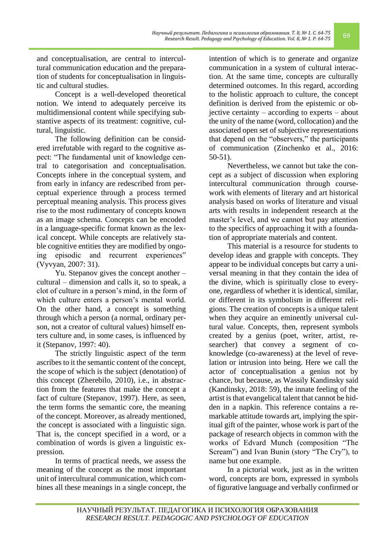and conceptualisation, are central to intercultural communication education and the preparation of students for conceptualisation in linguistic and cultural studies.

Concept is a well-developed theoretical notion. We intend to adequately perceive its multidimensional content while specifying substantive aspects of its treatment: cognitive, cultural, linguistic.

The following definition can be considered irrefutable with regard to the cognitive aspect: "The fundamental unit of knowledge central to categorisation and conceptualisation. Concepts inhere in the conceptual system, and from early in infancy are redescribed from perceptual experience through a process termed perceptual meaning analysis. This process gives rise to the most rudimentary of concepts known as an image schema. Concepts can be encoded in a language-specific format known as the lexical concept. While concepts are relatively stable cognitive entities they are modified by ongoing episodic and recurrent experiences" (Vyvyan, 2007: 31).

Yu. Stepanov gives the concept another – cultural – dimension and calls it, so to speak, a clot of culture in a person's mind, in the form of which culture enters a person's mental world. On the other hand, a concept is something through which a person (a normal, ordinary person, not a creator of cultural values) himself enters culture and, in some cases, is influenced by it (Stepanov, 1997: 40).

The strictly linguistic aspect of the term ascribes to it the semantic content of the concept, the scope of which is the subject (denotation) of this concept (Zherebilo, 2010), i.e., in abstraction from the features that make the concept a fact of culture (Stepanov, 1997). Here, as seen, the term forms the semantic core, the meaning of the concept. Moreover, as already mentioned, the concept is associated with a linguistic sign. That is, the concept specified in a word, or a combination of words is given a linguistic expression.

In terms of practical needs, we assess the meaning of the concept as the most important unit of intercultural communication, which combines all these meanings in a single concept, the intention of which is to generate and organize communication in a system of cultural interaction. At the same time, concepts are culturally determined outcomes. In this regard, according to the holistic approach to culture, the concept definition is derived from the epistemic or objective certainty – according to experts – about the unity of the name (word, collocation) and the associated open set of subjective representations that depend on the "observers," the participants of communication (Zinchenko et al., 2016: 50-51).

Nevertheless, we cannot but take the concept as a subject of discussion when exploring intercultural communication through coursework with elements of literary and art historical analysis based on works of literature and visual arts with results in independent research at the master's level, and we cannot but pay attention to the specifics of approaching it with a foundation of appropriate materials and content.

This material is a resource for students to develop ideas and grapple with concepts. They appear to be individual concepts but carry a universal meaning in that they contain the idea of the divine, which is spiritually close to everyone, regardless of whether it is identical, similar, or different in its symbolism in different religions. The creation of concepts is a unique talent when they acquire an eminently universal cultural value. Concepts, then, represent symbols created by a genius (poet, writer, artist, researcher) that convey a segment of coknowledge (co-awareness) at the level of revelation or intrusion into being. Here we call the actor of conceptualisation a genius not by chance, but because, as Wassily Kandinsky said (Kandinsky, 2018: 59), the innate feeling of the artist is that evangelical talent that cannot be hidden in a napkin. This reference contains a remarkable attitude towards art, implying the spiritual gift of the painter, whose work is part of the package of research objects in common with the works of Edvard Munch (composition "The Scream") and Ivan Bunin (story "The Cry"), to name but one example.

In a pictorial work, just as in the written word, concepts are born, expressed in symbols of figurative language and verbally confirmed or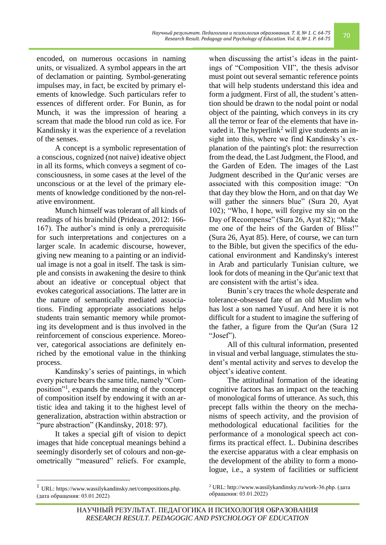encoded, on numerous occasions in naming units, or visualized. A symbol appears in the art of declamation or painting. Symbol-generating impulses may, in fact, be excited by primary elements of knowledge. Such particulars refer to essences of different order. For Bunin, as for Munch, it was the impression of hearing a scream that made the blood run cold as ice. For Kandinsky it was the experience of a revelation of the senses.

A concept is a symbolic representation of a conscious, cognized (not naive) ideative object in all its forms, which conveys a segment of coconsciousness, in some cases at the level of the unconscious or at the level of the primary elements of knowledge conditioned by the non-relative environment.

Munch himself was tolerant of all kinds of readings of his brainchild (Prideaux, 2012: 166- 167). The author's mind is only a prerequisite for such interpretations and conjectures on a larger scale. In academic discourse, however, giving new meaning to a painting or an individual image is not a goal in itself. The task is simple and consists in awakening the desire to think about an ideative or conceptual object that evokes categorical associations. The latter are in the nature of semantically mediated associations. Finding appropriate associations helps students train semantic memory while promoting its development and is thus involved in the reinforcement of conscious experience. Moreover, categorical associations are definitely enriched by the emotional value in the thinking process.

Kandinsky's series of paintings, in which every picture bears the same title, namely "Composition"<sup>1</sup> , expands the meaning of the concept of composition itself by endowing it with an artistic idea and taking it to the highest level of generalization, abstraction within abstraction or "pure abstraction" (Kandinsky, 2018: 97).

It takes a special gift of vision to depict images that hide conceptual meanings behind a seemingly disorderly set of colours and non-geometrically "measured" reliefs. For example,

when discussing the artist's ideas in the paintings of "Composition VII", the thesis advisor must point out several semantic reference points that will help students understand this idea and form a judgment. First of all, the student's attention should be drawn to the nodal point or nodal object of the painting, which conveys in its cry all the terror or fear of the elements that have invaded it. The hyperlink<sup>2</sup> will give students an insight into this, where we find Kandinsky's explanation of the painting's plot: the resurrection from the dead, the Last Judgment, the Flood, and the Garden of Eden. The images of the Last Judgment described in the Qur'anic verses are associated with this composition image: "On that day they blow the Horn, and on that day We will gather the sinners blue" (Sura 20, Ayat 102); "Who, I hope, will forgive my sin on the Day of Recompense" (Sura 26, Ayat 82); "Make me one of the heirs of the Garden of Bliss!" (Sura 26, Ayat 85). Here, of course, we can turn to the Bible, but given the specifics of the educational environment and Kandinsky's interest in Arab and particularly Tunisian culture, we look for dots of meaning in the Qur'anic text that are consistent with the artist's idea.

Bunin's cry traces the whole desperate and tolerance-obsessed fate of an old Muslim who has lost a son named Yusuf. And here it is not difficult for a student to imagine the suffering of the father, a figure from the Qur'an (Sura 12 "Josef").

All of this cultural information, presented in visual and verbal language, stimulates the student's mental activity and serves to develop the object's ideative content.

The attitudinal formation of the ideating cognitive factors has an impact on the teaching of monological forms of utterance. As such, this precept falls within the theory on the mechanisms of speech activity, and the provision of methodological educational facilities for the performance of a monological speech act confirms its practical effect. L. Dubinina describes the exercise apparatus with a clear emphasis on the development of the ability to form a monologue, i.e., a system of facilities or sufficient

<sup>1</sup> URL: https://www.wassilykandinsky.net/compositions.php. (дата обращения: 03.01.2022)

<sup>2</sup> URL: http://www.wassilykandinsky.ru/work-36.php. (дата обращения: 03.01.2022)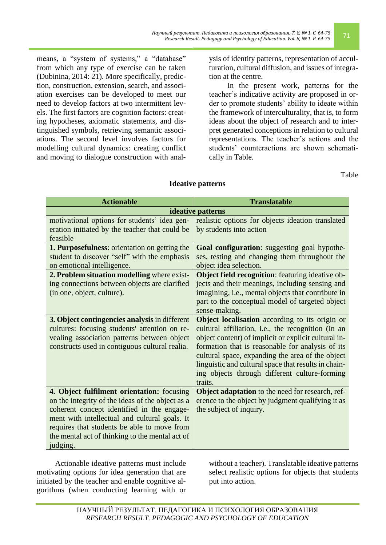means, a "system of systems," a "database" from which any type of exercise can be taken (Dubinina, 2014: 21). More specifically, prediction, construction, extension, search, and association exercises can be developed to meet our need to develop factors at two intermittent levels. The first factors are cognition factors: creating hypotheses, axiomatic statements, and distinguished symbols, retrieving semantic associations. The second level involves factors for modelling cultural dynamics: creating conflict and moving to dialogue construction with analysis of identity patterns, representation of acculturation, cultural diffusion, and issues of integration at the centre.

In the present work, patterns for the teacher's indicative activity are proposed in order to promote students' ability to ideate within the framework of interculturality, that is, to form ideas about the object of research and to interpret generated conceptions in relation to cultural representations. The teacher's actions and the students' counteractions are shown schematically in Table.

Table

| <b>Actionable</b>                                                                                                                                                                                                                                                                                           | <b>Translatable</b>                                                                                                                                                                                                                                                                                                                                                                      |
|-------------------------------------------------------------------------------------------------------------------------------------------------------------------------------------------------------------------------------------------------------------------------------------------------------------|------------------------------------------------------------------------------------------------------------------------------------------------------------------------------------------------------------------------------------------------------------------------------------------------------------------------------------------------------------------------------------------|
| ideative patterns                                                                                                                                                                                                                                                                                           |                                                                                                                                                                                                                                                                                                                                                                                          |
| motivational options for students' idea gen-<br>eration initiated by the teacher that could be<br>feasible                                                                                                                                                                                                  | realistic options for objects ideation translated<br>by students into action                                                                                                                                                                                                                                                                                                             |
| 1. Purposefulness: orientation on getting the<br>student to discover "self" with the emphasis<br>on emotional intelligence.                                                                                                                                                                                 | Goal configuration: suggesting goal hypothe-<br>ses, testing and changing them throughout the<br>object idea selection.                                                                                                                                                                                                                                                                  |
| 2. Problem situation modelling where exist-<br>ing connections between objects are clarified<br>(in one, object, culture).                                                                                                                                                                                  | <b>Object field recognition:</b> featuring ideative ob-<br>jects and their meanings, including sensing and<br>imagining, i.e., mental objects that contribute in<br>part to the conceptual model of targeted object<br>sense-making.                                                                                                                                                     |
| 3. Object contingencies analysis in different<br>cultures: focusing students' attention on re-<br>vealing association patterns between object<br>constructs used in contiguous cultural realia.                                                                                                             | Object localisation according to its origin or<br>cultural affiliation, i.e., the recognition (in an<br>object content) of implicit or explicit cultural in-<br>formation that is reasonable for analysis of its<br>cultural space, expanding the area of the object<br>linguistic and cultural space that results in chain-<br>ing objects through different culture-forming<br>traits. |
| 4. Object fulfilment orientation: focusing<br>on the integrity of the ideas of the object as a<br>coherent concept identified in the engage-<br>ment with intellectual and cultural goals. It<br>requires that students be able to move from<br>the mental act of thinking to the mental act of<br>judging. | Object adaptation to the need for research, ref-<br>erence to the object by judgment qualifying it as<br>the subject of inquiry.                                                                                                                                                                                                                                                         |

## **Ideative patterns**

Actionable ideative patterns must include motivating options for idea generation that are initiated by the teacher and enable cognitive algorithms (when conducting learning with or

without a teacher). Translatable ideative patterns select realistic options for objects that students put into action.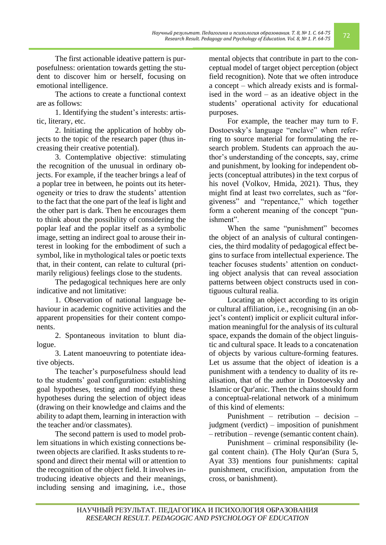The first actionable ideative pattern is purposefulness: orientation towards getting the student to discover him or herself, focusing on emotional intelligence.

The actions to create a functional context are as follows:

1. Identifying the student's interests: artistic, literary, etc.

2. Initiating the application of hobby objects to the topic of the research paper (thus increasing their creative potential).

3. Contemplative objective: stimulating the recognition of the unusual in ordinary objects. For example, if the teacher brings a leaf of a poplar tree in between, he points out its heterogeneity or tries to draw the students' attention to the fact that the one part of the leaf is light and the other part is dark. Then he encourages them to think about the possibility of considering the poplar leaf and the poplar itself as a symbolic image, setting an indirect goal to arouse their interest in looking for the embodiment of such a symbol, like in mythological tales or poetic texts that, in their content, can relate to cultural (primarily religious) feelings close to the students.

The pedagogical techniques here are only indicative and not limitative:

1. Observation of national language behaviour in academic cognitive activities and the apparent propensities for their content components.

2. Spontaneous invitation to blunt dialogue.

3. Latent manoeuvring to potentiate ideative objects.

The teacher's purposefulness should lead to the students' goal configuration: establishing goal hypotheses, testing and modifying these hypotheses during the selection of object ideas (drawing on their knowledge and claims and the ability to adapt them, learning in interaction with the teacher and/or classmates).

The second pattern is used to model problem situations in which existing connections between objects are clarified. It asks students to respond and direct their mental will or attention to the recognition of the object field. It involves introducing ideative objects and their meanings, including sensing and imagining, i.e., those

mental objects that contribute in part to the conceptual model of target object perception (object field recognition). Note that we often introduce a concept – which already exists and is formalised in the word – as an ideative object in the students' operational activity for educational purposes.

For example, the teacher may turn to F. Dostoevsky's language "enclave" when referring to source material for formulating the research problem. Students can approach the author's understanding of the concepts, say, crime and punishment, by looking for independent objects (conceptual attributes) in the text corpus of his novel (Volkov, Hmida, 2021). Thus, they might find at least two correlates, such as "forgiveness" and "repentance," which together form a coherent meaning of the concept "punishment".

When the same "punishment" becomes the object of an analysis of cultural contingencies, the third modality of pedagogical effect begins to surface from intellectual experience. The teacher focuses students' attention on conducting object analysis that can reveal association patterns between object constructs used in contiguous cultural realia.

Locating an object according to its origin or cultural affiliation, i.e., recognising (in an object's content) implicit or explicit cultural information meaningful for the analysis of its cultural space, expands the domain of the object linguistic and cultural space. It leads to a concatenation of objects by various culture-forming features. Let us assume that the object of ideation is a punishment with a tendency to duality of its realisation, that of the author in Dostoevsky and Islamic or Qur'anic. Then the chains should form a conceptual-relational network of a minimum of this kind of elements:

Punishment – retribution – decision – judgment (verdict) – imposition of punishment – retribution – revenge (semantic content chain).

Punishment – criminal responsibility (legal content chain). (The Holy Qur'an (Sura 5, Ayat 33) mentions four punishments: capital punishment, crucifixion, amputation from the cross, or banishment).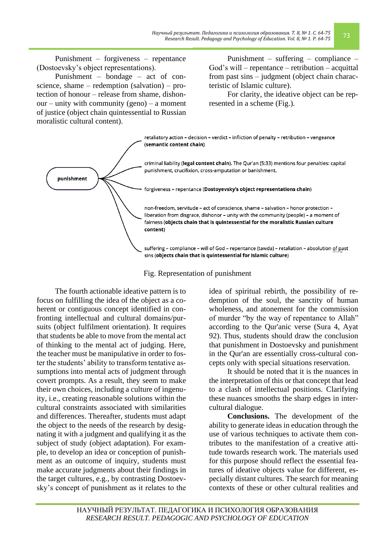Punishment – forgiveness – repentance (Dostoevsky's object representations).

Punishment – bondage – act of conscience, shame – redemption (salvation) – protection of honour – release from shame, dishonour – unity with community (geno) – a moment of justice (object chain quintessential to Russian moralistic cultural content).

Punishment – suffering – compliance – God's will – repentance – retribution – acquittal from past sins – judgment (object chain characteristic of Islamic culture).

For clarity, the ideative object can be represented in a scheme (Fig.).



Fig. Representation of punishment

The fourth actionable ideative pattern is to focus on fulfilling the idea of the object as a coherent or contiguous concept identified in confronting intellectual and cultural domains/pursuits (object fulfilment orientation). It requires that students be able to move from the mental act of thinking to the mental act of judging. Here, the teacher must be manipulative in order to foster the students' ability to transform tentative assumptions into mental acts of judgment through covert prompts. As a result, they seem to make their own choices, including a culture of ingenuity, i.e., creating reasonable solutions within the cultural constraints associated with similarities and differences. Thereafter, students must adapt the object to the needs of the research by designating it with a judgment and qualifying it as the subject of study (object adaptation). For example, to develop an idea or conception of punishment as an outcome of inquiry, students must make accurate judgments about their findings in the target cultures, e.g., by contrasting Dostoevsky's concept of punishment as it relates to the

idea of spiritual rebirth, the possibility of redemption of the soul, the sanctity of human wholeness, and atonement for the commission of murder "by the way of repentance to Allah" according to the Qur'anic verse (Sura 4, Ayat 92). Thus, students should draw the conclusion that punishment in Dostoevsky and punishment in the Qur'an are essentially cross-cultural concepts only with special situations reservation.

It should be noted that it is the nuances in the interpretation of this or that concept that lead to a clash of intellectual positions. Clarifying these nuances smooths the sharp edges in intercultural dialogue.

**Conclusions.** The development of the ability to generate ideas in education through the use of various techniques to activate them contributes to the manifestation of a creative attitude towards research work. The materials used for this purpose should reflect the essential features of ideative objects value for different, especially distant cultures. The search for meaning contexts of these or other cultural realities and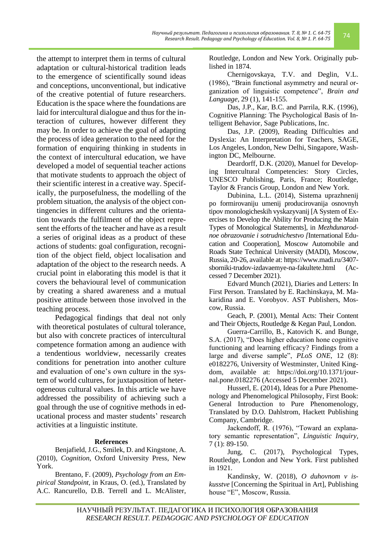the attempt to interpret them in terms of cultural adaptation or cultural-historical tradition leads to the emergence of scientifically sound ideas and conceptions, unconventional, but indicative of the creative potential of future researchers. Education is the space where the foundations are laid for intercultural dialogue and thus for the interaction of cultures, however different they may be. In order to achieve the goal of adapting the process of idea generation to the need for the formation of enquiring thinking in students in the context of intercultural education, we have developed a model of sequential teacher actions that motivate students to approach the object of their scientific interest in a creative way. Specifically, the purposefulness, the modelling of the problem situation, the analysis of the object contingencies in different cultures and the orientation towards the fulfilment of the object represent the efforts of the teacher and have as a result a series of original ideas as a product of these actions of students: goal configuration, recognition of the object field, object localisation and adaptation of the object to the research needs. A crucial point in elaborating this model is that it covers the behavioural level of communication by creating a shared awareness and a mutual positive attitude between those involved in the teaching process.

Pedagogical findings that deal not only with theoretical postulates of cultural tolerance, but also with concrete practices of intercultural competence formation among an audience with a tendentious worldview, necessarily creates conditions for penetration into another culture and evaluation of one's own culture in the system of world cultures, for juxtaposition of heterogeneous cultural values. In this article we have addressed the possibility of achieving such a goal through the use of cognitive methods in educational process and master students' research activities at a linguistic institute.

#### **References**

Benjafield, J.G., Smilek, D. and Kingstone, A. (2010), *Cognition*, Oxford University Press, New York.

Brentano, F. (2009), *Psychology from an Empirical Standpoint,* in Kraus, O. (ed.), Translated by A.C. Rancurello, D.B. Terrell and L. McAlister, Routledge, London and New York. Originally published in 1874.

Chernigovskaya, T.V. and Deglin, V.L. (1986), "Brain functional asymmetry and neural organization of linguistic competence", *Brain and Language,* 29 (1), 141-155.

Das, J.P., Kar, B.C. and Parrila, R.K. (1996), Cognitive Planning: The Psychological Basis of Intelligent Behavior*,* Sage Publications, Inc.

Das, J.P. (2009), Reading Difficulties and Dyslexia: An Interpretation for Teachers, SAGE, Los Angeles, London, New Delhi, Singapore, Washington DC, Melbourne.

Deardorff, D.K. (2020), Manuel for Developing Intercultural Competencies: Story Circles, UNESCO Publishing, Paris, France; Routledge, Taylor & Francis Group, London and New York.

Dubinina, L.L. (2014), Sistema uprazhnenij po formirovaniju umenij producirovanija osnovnyh tipov monologicheskih vyskazyvanij [A System of Exercises to Develop the Ability for Producing the Main Types of Monological Statements], in *Mezhdunarodnoe obrazovanie i sotrudnichestvo [*International Education and Cooperation], Moscow Automobile and Roads State Technical University (MADI), Moscow, Russia, 20-26, available at: [https://www.madi.ru/3407](https://www.madi.ru/3407-sborniki-trudov-izdavaemye-na-fakultete.html) [sborniki-trudov-izdavaemye-na-fakultete.html](https://www.madi.ru/3407-sborniki-trudov-izdavaemye-na-fakultete.html) (Accessed 7 December 2021).

Edvard Munch (2021), Diaries and Letters: In First Person. Translated by E. Rachinskaya, M. Makaridina and E. Vorobyov. AST Publishers, Moscow, Russia.

Geach, P. (2001), Mental Acts: Their Content and Their Objects, Routledge & Kegan Paul, London.

Guerra-Carrillo, B., Katovich K. and Bunge, S.A. (2017), "Does higher education hone cognitive functioning and learning efficacy? Findings from a large and diverse sample", *PLoS ONE*, 12 (8): e0182276, University of Westminster, United Kingdom, available at: [https://doi.org/10.1371/jour](https://doi.org/10.1371/journal.pone.0182276)[nal.pone.0182276](https://doi.org/10.1371/journal.pone.0182276) (Accessed 5 December 2021).

Husserl, E. (2014), Ideas for a Pure Phenomenology and Phenomelogical Philosophy, First Book: General Introduction to Pure Phenomenology, Translated by D.O. Dahlstrom, Hackett Publishing Company, Cambridge.

Jackendoff, R. (1976), "Toward an explanatory semantic representation", *Linguistic Inquiry,* 7 (1): 89-150.

Jung, C. (2017), Psychological Types, Routledge, London and New York. First published in 1921.

Kandinsky, W. (2018), *O duhovnom v iskusstve* [Concerning the Spiritual in Art], Publishing house "E", Moscow, Russia.